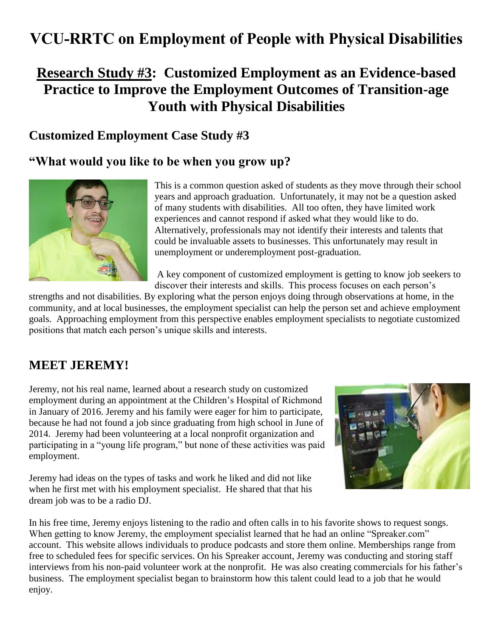# **VCU-RRTC on Employment of People with Physical Disabilities**

## **Research Study #3: Customized Employment as an Evidence-based Practice to Improve the Employment Outcomes of Transition-age Youth with Physical Disabilities**

### **Customized Employment Case Study #3**

### **"What would you like to be when you grow up?**



This is a common question asked of students as they move through their school years and approach graduation. Unfortunately, it may not be a question asked of many students with disabilities. All too often, they have limited work experiences and cannot respond if asked what they would like to do. Alternatively, professionals may not identify their interests and talents that could be invaluable assets to businesses. This unfortunately may result in unemployment or underemployment post-graduation.

A key component of customized employment is getting to know job seekers to discover their interests and skills. This process focuses on each person's

strengths and not disabilities. By exploring what the person enjoys doing through observations at home, in the community, and at local businesses, the employment specialist can help the person set and achieve employment goals. Approaching employment from this perspective enables employment specialists to negotiate customized positions that match each person's unique skills and interests.

## **MEET JEREMY!**

Jeremy, not his real name, learned about a research study on customized employment during an appointment at the Children's Hospital of Richmond in January of 2016. Jeremy and his family were eager for him to participate, because he had not found a job since graduating from high school in June of 2014. Jeremy had been volunteering at a local nonprofit organization and participating in a "young life program," but none of these activities was paid employment.



Jeremy had ideas on the types of tasks and work he liked and did not like when he first met with his employment specialist. He shared that that his dream job was to be a radio DJ.

In his free time, Jeremy enjoys listening to the radio and often calls in to his favorite shows to request songs. When getting to know Jeremy, the employment specialist learned that he had an online "Spreaker.com" account. This website allows individuals to produce podcasts and store them online. Memberships range from free to scheduled fees for specific services. On his Spreaker account, Jeremy was conducting and storing staff interviews from his non-paid volunteer work at the nonprofit. He was also creating commercials for his father's business. The employment specialist began to brainstorm how this talent could lead to a job that he would enjoy.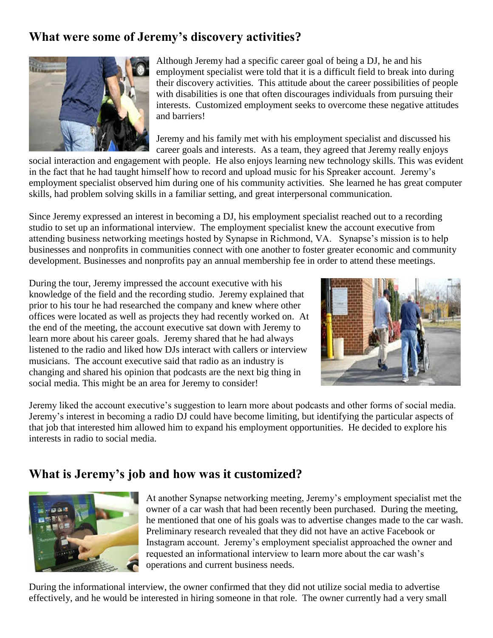## **What were some of Jeremy's discovery activities?**



Although Jeremy had a specific career goal of being a DJ, he and his employment specialist were told that it is a difficult field to break into during their discovery activities. This attitude about the career possibilities of people with disabilities is one that often discourages individuals from pursuing their interests. Customized employment seeks to overcome these negative attitudes and barriers!

Jeremy and his family met with his employment specialist and discussed his career goals and interests. As a team, they agreed that Jeremy really enjoys

social interaction and engagement with people. He also enjoys learning new technology skills. This was evident in the fact that he had taught himself how to record and upload music for his Spreaker account. Jeremy's employment specialist observed him during one of his community activities. She learned he has great computer skills, had problem solving skills in a familiar setting, and great interpersonal communication.

Since Jeremy expressed an interest in becoming a DJ, his employment specialist reached out to a recording studio to set up an informational interview. The employment specialist knew the account executive from attending business networking meetings hosted by Synapse in Richmond, VA. Synapse's mission is to help businesses and nonprofits in communities connect with one another to foster greater economic and community development. Businesses and nonprofits pay an annual membership fee in order to attend these meetings.

During the tour, Jeremy impressed the account executive with his knowledge of the field and the recording studio. Jeremy explained that prior to his tour he had researched the company and knew where other offices were located as well as projects they had recently worked on. At the end of the meeting, the account executive sat down with Jeremy to learn more about his career goals. Jeremy shared that he had always listened to the radio and liked how DJs interact with callers or interview musicians. The account executive said that radio as an industry is changing and shared his opinion that podcasts are the next big thing in social media. This might be an area for Jeremy to consider!



Jeremy liked the account executive's suggestion to learn more about podcasts and other forms of social media. Jeremy's interest in becoming a radio DJ could have become limiting, but identifying the particular aspects of that job that interested him allowed him to expand his employment opportunities. He decided to explore his interests in radio to social media.

## **What is Jeremy's job and how was it customized?**



At another Synapse networking meeting, Jeremy's employment specialist met the owner of a car wash that had been recently been purchased. During the meeting, he mentioned that one of his goals was to advertise changes made to the car wash. Preliminary research revealed that they did not have an active Facebook or Instagram account. Jeremy's employment specialist approached the owner and requested an informational interview to learn more about the car wash's operations and current business needs.

During the informational interview, the owner confirmed that they did not utilize social media to advertise effectively, and he would be interested in hiring someone in that role. The owner currently had a very small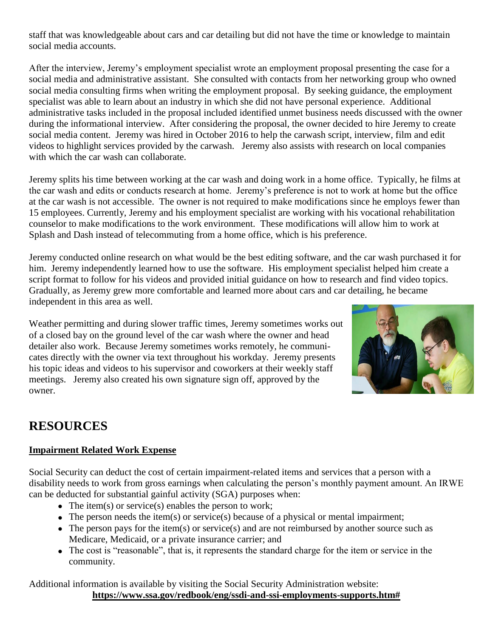staff that was knowledgeable about cars and car detailing but did not have the time or knowledge to maintain social media accounts.

After the interview, Jeremy's employment specialist wrote an employment proposal presenting the case for a social media and administrative assistant. She consulted with contacts from her networking group who owned social media consulting firms when writing the employment proposal. By seeking guidance, the employment specialist was able to learn about an industry in which she did not have personal experience. Additional administrative tasks included in the proposal included identified unmet business needs discussed with the owner during the informational interview. After considering the proposal, the owner decided to hire Jeremy to create social media content. Jeremy was hired in October 2016 to help the carwash script, interview, film and edit videos to highlight services provided by the carwash. Jeremy also assists with research on local companies with which the car wash can collaborate.

Jeremy splits his time between working at the car wash and doing work in a home office. Typically, he films at the car wash and edits or conducts research at home. Jeremy's preference is not to work at home but the office at the car wash is not accessible. The owner is not required to make modifications since he employs fewer than 15 employees. Currently, Jeremy and his employment specialist are working with his vocational rehabilitation counselor to make modifications to the work environment. These modifications will allow him to work at Splash and Dash instead of telecommuting from a home office, which is his preference.

Jeremy conducted online research on what would be the best editing software, and the car wash purchased it for him. Jeremy independently learned how to use the software. His employment specialist helped him create a script format to follow for his videos and provided initial guidance on how to research and find video topics. Gradually, as Jeremy grew more comfortable and learned more about cars and car detailing, he became independent in this area as well.

Weather permitting and during slower traffic times, Jeremy sometimes works out of a closed bay on the ground level of the car wash where the owner and head detailer also work. Because Jeremy sometimes works remotely, he communicates directly with the owner via text throughout his workday. Jeremy presents his topic ideas and videos to his supervisor and coworkers at their weekly staff meetings. Jeremy also created his own signature sign off, approved by the owner.



## **RESOURCES**

#### **Impairment Related Work Expense**

Social Security can deduct the cost of certain impairment-related items and services that a person with a disability needs to work from gross earnings when calculating the person's monthly payment amount. An IRWE can be deducted for substantial gainful activity (SGA) purposes when:

- The item(s) or service(s) enables the person to work;
- The person needs the item(s) or service(s) because of a physical or mental impairment;
- The person pays for the item(s) or service(s) and are not reimbursed by another source such as Medicare, Medicaid, or a private insurance carrier; and
- The cost is "reasonable", that is, it represents the standard charge for the item or service in the community.

Additional information is available by visiting the Social Security Administration website: **https://www.ssa.gov/redbook/eng/ssdi-and-ssi-employments-supports.htm#**